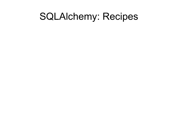### SQLAlchemy: Recipes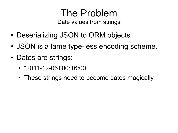#### The Problem Date values from strings

- Deserializing JSON to ORM objects
- JSON is a lame type-less encoding scheme.
- Dates are strings:
	- "2011-12-06T00:16:00"
	- These strings need to become dates magically.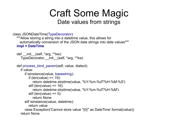#### Craft Some Magic Date values from strings

```
class JSONDateTime(TypeDecorator):
```

```
 """Allow storing a string into a datetime value, this allows for 
  automatically conversion of the JSON date strings into date values"""
 impl = DateTime
```

```
def \overline{=} init (self, *arg, **kw):
    TypeDecorator.__init__(self, *arg, **kw)
```

```
def process bind param(self, value, dialect):
```

```
 if value:
```

```
 if isinstance(value, basestring):
```

```
if (len(value) == 19):
```

```
 return datetime.strptime(value, '%Y-%m-%dT%H:%M:%S')
```

```
elif (len(value) == 16):
```

```
 return datetime.strptime(value, '%Y-%m-%dT%H:%M')
```

```
elif (len(value) == 0):
```

```
 return None
```

```
 elif isinstance(value, datetime):
```

```
 return value
```

```
 raise Exception('Cannot store value "{0}" as DateTime'.format(value))
 return None
```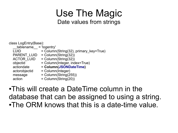#### Use The Magic Date values from strings

class LogEntry(Base): \_\_tablename\_\_ = 'logentry' LUID  $=$  Column(String(32), primary key=True) PARENT\_LUID = Column(String(32))  $ACTOR$ <sup>LUID</sup> = Column(String(32))  $objectid$  = Column(Integer, index=True)<br>actiondate =  $$  actiondate = **Column(JSONDateTime)** actorobjectid = Column(Integer)  $message$  = Column(String(255))  $\alpha$  = Column(String(20))

●This will create a DateTime column in the database that can be assigned to using a string. •The ORM knows that this is a date-time value.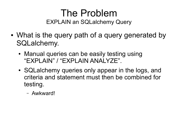#### The Problem EXPLAIN an SQLalchemy Query

- What is the query path of a query generated by SQLalchemy.
	- Manual queries can be easily testing using "EXPLAIN" / "EXPLAIN ANALYZE".
	- SQLalchemy queries only appear in the logs, and criteria and statement must then be combined for testing.
		- Awkward!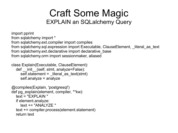#### Craft Some Magic EXPLAIN an SQLalchemy Query

import pprint from sqlalchemy import \* from sqlalchemy.ext.compiler import compiles from sqlalchemy.sql.expression import Executable, ClauseElement, literal as text from sqlalchemy.ext.declarative import declarative\_base from sqlalchemy.orm import sessionmaker, aliased

```
class Explain(Executable, ClauseElement):
  def init (self, stmt, analyze=False):
     self.statement = literal as text(stmt)
      self.analyze = analyze
```

```
@compiles(Explain, 'postgresql')
def pg_explain(element, compiler, **kw):
  text = "FXPI AIN" if element.analyze:
    text += "ANAI Y7F"
   text += compiler.process(element.statement)
   return text
```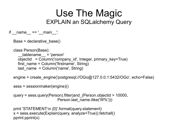#### Use The Magic EXPLAIN an SQLalchemy Query

if  $name = '$  main  $'$ :

```
 Base = declarative_base()
```
class Person(Base):

```
tablename = 'person'
 objectid = Column('company_id', Integer, primary_key=True)
first name = Column('firstname', String)
last name = Column('name', String)
```
engine = create\_engine('postgresql://OGo@127.0.0.1:5432/OGo', echo=False)

```
 sess = sessionmaker(engine)()
```

```
 query = sess.query(Person).filter(and_(Person.objectid > 10000, 
                        Person.last_name.ilike('W%')))
```

```
 print 'STATEMENT:\n {0}'.format(query.statement)
 x = sess.execute(Explain(query, analyze=True)).fetchall()
 pprint.pprint(x)
```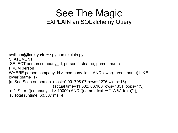#### See The Magic EXPLAIN an SQLalchemy Query

```
awilliam@linux-yu4c:~> python explain.py
STATEMENT:
SELECT person.company id, person.firstname, person.name
FROM person 
WHERE person.company id >:company id 1 AND lower(person.name) LIKE
lower(:name 1)
[(u'Seq Scan on person (cost=0.00..798.07 rows=1276 width=16)] (actual time=11.532..63.180 rows=1331 loops=1)',),
(u" Filter: ((company id > 10000) AND ((name)::text ~~* 'W%'::text))",),
(u'Total runtime: 63.307 ms',)]
```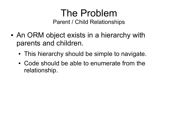#### The Problem Parent / Child Relationships

- An ORM object exists in a hierarchy with parents and children.
	- This hierarchy should be simple to navigate.
	- Code should be able to enumerate from the relationship.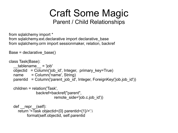#### Craft Some Magic Parent / Child Relationships

from sqlalchemy import \* from sqlalchemy.ext.declarative import declarative\_base from sqlalchemy.orm import sessionmaker, relation, backref

Base = declarative base()

```
class Task(Base):
    tablename = 'job' objectid = Column('job_id', Integer, primary_key=True)
  name = Column('name', String)
   parentid = Column('parent_job_id', Integer, ForeignKey('job.job_id'))
   children = relation('Task', 
                backref=backref("parent", 
                         remote side='job.c.job id'))
   def __repr__(self):
      return '<Task objectid={0} parentid={1}/>'.\
           format(self.objectid, self.parentid
```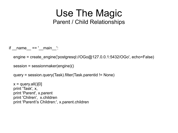#### Use The Magic Parent / Child Relationships

if  $name = '$  main  $'$ :

engine = create\_engine('postgresql://OGo@127.0.0.1:5432/OGo', echo=False)

```
 session = sessionmaker(engine)()
```
query = session.query(Task).filter(Task.parentid != None)

 $x =$  query.all()[0] print 'Task', x, print 'Parent', x.parent print 'Chilren', x.children print 'Parent\'s Children:', x.parent.children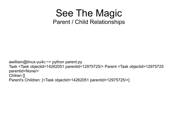#### See The Magic Parent / Child Relationships

awilliam@linux-yu4c:~> python parent.py Task <Task objectid=14262051 parentid=12975725/> Parent <Task objectid=12975725 parentid=None/> Chilren [] Parent's Children: [<Task objectid=14262051 parentid=12975725/>]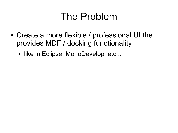## The Problem

- Create a more flexible / professional UI the provides MDF / docking functionality
	- like in Eclipse, MonoDevelop, etc...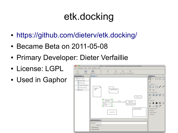# etk.docking

- https://github.com/dieterv/etk.docking/
- Became Beta on 2011-05-08
- Primary Developer: Dieter Verfaillie
- License: LGPL
- Used in Gaphor

| <b>ADD</b>                             | \ Gaphor - /Users/arjan/Development/gaphor/examples/showcase.gaphor                                                            |                                         |
|----------------------------------------|--------------------------------------------------------------------------------------------------------------------------------|-----------------------------------------|
| file Diagram Edit Tools Window Help    |                                                                                                                                |                                         |
| ⊠<br>髙<br>⊟<br>Save<br>Save As<br>Open | $\mathbb{C}$<br>$Q \tQ$<br>$\psi$<br>$\mathcal{L}_{\mathcal{D}}$<br>Unda:<br>Weda <sup>1</sup><br>Zoom in Zoom Out Normal Size |                                         |
| Namespace(1)<br><b>MO</b>              | $[$ (Menain (1)                                                                                                                | <b>CO LisaboxLi</b><br><b>KILEY</b>     |
| Y C New model                          |                                                                                                                                | / 000<br>脑                              |
| <b>&gt; 图 NewClass</b>                 |                                                                                                                                | $\mathbf{r}^{\mathbf{r}^{\mathbf{r}}}$  |
| <b>NewClass</b>                        |                                                                                                                                |                                         |
| El Newtriteraction                     |                                                                                                                                | + Classes                               |
| The NewPackage                         |                                                                                                                                | $\Box$ $\circ$ $\Box$ $\prime$ $\prime$ |
| <sup>25</sup> main                     | ingara<br>200<br>NewPackage                                                                                                    | $9 - 9$                                 |
|                                        |                                                                                                                                | · Components                            |
|                                        |                                                                                                                                | 80000                                   |
|                                        | <b>CONTRACTOR</b><br>hiereAction.                                                                                              |                                         |
|                                        |                                                                                                                                | $\mathbf{r}^{\mathbf{p}}$               |
|                                        | <b>Readless</b><br>$+1$<br>name<br>$+1$<br>New Class                                                                           | # Actions                               |
|                                        | 1.451<br>+ spart1                                                                                                              | $\circ$<br>∾                            |
|                                        |                                                                                                                                | ロ目ノ<br>в                                |
|                                        | Newtheraction                                                                                                                  | I interactions                          |
|                                        |                                                                                                                                | # States                                |
|                                        | <b>Issue Adva</b>                                                                                                              | F Use Cases<br>+ Profiles               |
|                                        |                                                                                                                                |                                         |
|                                        |                                                                                                                                |                                         |
|                                        | Alement Editor (L)                                                                                                             | <b>KITCH</b>                            |
|                                        | Name   NewClass                                                                                                                |                                         |
|                                        | <b>DAbstract</b>                                                                                                               |                                         |
|                                        | <b>I Altributes</b>                                                                                                            |                                         |
|                                        | <b>1 Operations</b>                                                                                                            |                                         |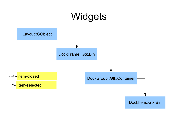## Widgets